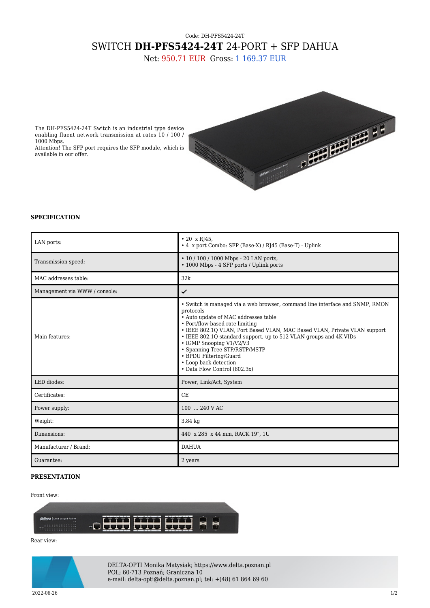## Code: DH-PFS5424-24T SWITCH **DH-PFS5424-24T** 24-PORT + SFP DAHUA

Net: 950.71 EUR Gross: 1 169.37 EUR



The DH-PFS5424-24T Switch is an industrial type device enabling fluent network transmission at rates 10 / 100 / 1000 Mbps.

Attention! The SFP port requires the SFP module, which is available in our offer.

## **SPECIFICATION**

| LAN ports:                    | $\cdot$ 20 x RJ45,<br>• 4 x port Combo: SFP (Base-X) / RJ45 (Base-T) - Uplink                                                                                                                                                                                                                                                                                                                                                                                          |
|-------------------------------|------------------------------------------------------------------------------------------------------------------------------------------------------------------------------------------------------------------------------------------------------------------------------------------------------------------------------------------------------------------------------------------------------------------------------------------------------------------------|
| Transmission speed:           | $\cdot$ 10 / 100 / 1000 Mbps - 20 LAN ports,<br>• 1000 Mbps - 4 SFP ports / Uplink ports                                                                                                                                                                                                                                                                                                                                                                               |
| MAC addresses table:          | 32k                                                                                                                                                                                                                                                                                                                                                                                                                                                                    |
| Management via WWW / console: | ✓                                                                                                                                                                                                                                                                                                                                                                                                                                                                      |
| Main features:                | • Switch is managed via a web browser, command line interface and SNMP, RMON<br>protocols<br>• Auto update of MAC addresses table<br>• Port/flow-based rate limiting<br>• IEEE 802.1Q VLAN, Port Based VLAN, MAC Based VLAN, Private VLAN support<br>• IEEE 802.10 standard support, up to 512 VLAN groups and 4K VIDs<br>• IGMP Snooping V1/V2/V3<br>• Spanning Tree STP/RSTP/MSTP<br>• BPDU Filtering/Guard<br>• Loop back detection<br>• Data Flow Control (802.3x) |
| LED diodes:                   | Power, Link/Act, System                                                                                                                                                                                                                                                                                                                                                                                                                                                |
| Certificates:                 | CE                                                                                                                                                                                                                                                                                                                                                                                                                                                                     |
| Power supply:                 | 100  240 V AC                                                                                                                                                                                                                                                                                                                                                                                                                                                          |
| Weight:                       | 3.84 kg                                                                                                                                                                                                                                                                                                                                                                                                                                                                |
| Dimensions:                   | 440 x 285 x 44 mm, RACK 19", 1U                                                                                                                                                                                                                                                                                                                                                                                                                                        |
| Manufacturer / Brand:         | <b>DAHUA</b>                                                                                                                                                                                                                                                                                                                                                                                                                                                           |
| Guarantee:                    | 2 years                                                                                                                                                                                                                                                                                                                                                                                                                                                                |

## **PRESENTATION**

## Front view:



Rear view:



DELTA-OPTI Monika Matysiak; https://www.delta.poznan.pl POL; 60-713 Poznań; Graniczna 10 e-mail: delta-opti@delta.poznan.pl; tel: +(48) 61 864 69 60